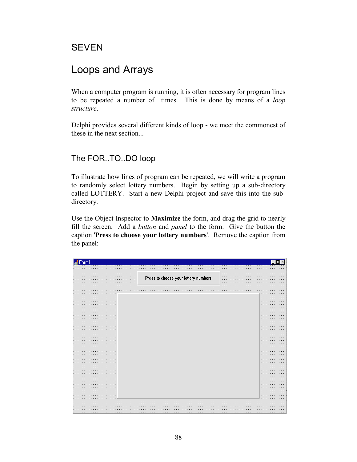# SEVEN

# Loops and Arrays

When a computer program is running, it is often necessary for program lines to be repeated a number of times. This is done by means of a *loop structure*.

Delphi provides several different kinds of loop - we meet the commonest of these in the next section...

## The FOR..TO..DO loop

To illustrate how lines of program can be repeated, we will write a program to randomly select lottery numbers. Begin by setting up a sub-directory called LOTTERY. Start a new Delphi project and save this into the subdirectory.

Use the Object Inspector to **Maximize** the form, and drag the grid to nearly fill the screen. Add a *button* and *panel* to the form. Give the button the caption '**Press to choose your lottery numbers**'. Remove the caption from the panel:

| Form1                  |                                      |            |                                                               |
|------------------------|--------------------------------------|------------|---------------------------------------------------------------|
|                        |                                      |            |                                                               |
|                        |                                      |            |                                                               |
|                        |                                      |            |                                                               |
| $\sim$                 |                                      | a.         |                                                               |
| $\cdots$               | Press to choose your lottery numbers | $\sim$     |                                                               |
| $\sim$ $\sim$          |                                      | $\epsilon$ |                                                               |
|                        |                                      |            |                                                               |
|                        |                                      |            |                                                               |
|                        |                                      |            |                                                               |
|                        |                                      |            |                                                               |
|                        |                                      |            |                                                               |
| $\sim$<br>$\sim$<br>٠. |                                      |            | $\cdots$<br>$\sim$                                            |
|                        |                                      |            | $\cdots$<br>$\cdots$<br>$\cdots$                              |
| $\sim$                 |                                      |            | $\sim$<br>$\sim$ $\sim$                                       |
|                        |                                      |            | $\cdot$ $\cdot$                                               |
|                        |                                      |            | $\cdot$ $\cdot$                                               |
| $\mathbf{r}$           |                                      |            | $\sim$ $\sim$<br>$\sim$                                       |
|                        |                                      |            | $\cdots$<br>$\cdots$                                          |
|                        |                                      |            | $\sim$<br>$\sim$                                              |
|                        |                                      |            | $\sim$ $\sim$                                                 |
|                        |                                      |            | $\cdot$ $\cdot$<br>$\cdots$                                   |
|                        |                                      |            | $\sim$<br>$\sim$ $\sim$                                       |
|                        |                                      |            | $\sim$ $\sim$                                                 |
|                        |                                      |            | $\cdots$<br>$\cdot$ $\cdot$                                   |
|                        |                                      |            | $\sim$<br>$\sim$ $\sim$                                       |
|                        |                                      |            | $\cdots$                                                      |
|                        |                                      |            | $\mathbf{r}$<br>$\cdot$ $\cdot$                               |
|                        |                                      |            | $\cdot$ $\cdot$<br>$\sim$                                     |
|                        |                                      |            | $\cdots$<br>$\cdot$ $\cdot$                                   |
|                        |                                      |            | $\sim$<br>$\cdots$                                            |
|                        |                                      |            | $\cdot$ $\cdot$                                               |
|                        |                                      |            | $\cdot$ $\cdot$<br>$\cdots$                                   |
|                        |                                      |            | $\sim$<br>$\sim$ $\sim$                                       |
|                        |                                      |            | $\cdots$                                                      |
|                        |                                      |            | $\cdot$ $\cdot$<br>$\cdots$                                   |
| $\mathbf{r}$           |                                      |            | $\sim$<br>$\sim$ $\sim$                                       |
|                        |                                      |            | $\cdot$ $\cdot$<br>×.                                         |
|                        |                                      |            | $\cdot$ $\cdot$                                               |
| $\bullet$              |                                      |            | $\sim$ $\sim$<br>$\sim$ $\sim$<br>$\cdots$<br>$\cdot$ $\cdot$ |
|                        |                                      |            | $\cdot$ $\cdot$<br>×.                                         |
| $\mathbf{r}$           |                                      |            | $\cdot$ $\cdot$                                               |
|                        |                                      |            | $\cdot$ $\cdot$<br>$\mathbf{z} = \mathbf{z}$                  |
|                        |                                      |            | $\sim$<br>$\sim$ $\sim$                                       |
|                        |                                      |            | $\epsilon$ . $\epsilon$<br>$\cdot$ $\cdot$                    |
|                        |                                      |            | $\sim$                                                        |
|                        |                                      |            | $\sim$ $\sim$                                                 |
|                        |                                      |            |                                                               |
|                        |                                      |            |                                                               |
|                        |                                      |            |                                                               |
|                        |                                      |            |                                                               |
|                        |                                      |            |                                                               |
|                        |                                      |            |                                                               |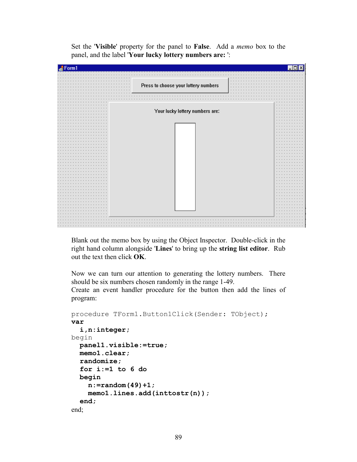Set the '**Visible**' property for the panel to **False**. Add a *memo* box to the panel, and the label '**Your lucky lottery numbers are:** ':



Blank out the memo box by using the Object Inspector. Double-click in the right hand column alongside '**Lines**' to bring up the **string list editor**. Rub out the text then click **OK**.

Now we can turn our attention to generating the lottery numbers. There should be six numbers chosen randomly in the range 1-49.

Create an event handler procedure for the button then add the lines of program:

```
procedure TForm1.Button1Click(Sender: TObject);
var
   i,n:integer;
begin
   panel1.visible:=true;
   memo1.clear;
   randomize;
   for i:=1 to 6 do
   begin
     n:=random(49)+1;
     memo1.lines.add(inttostr(n));
   end;
end;
```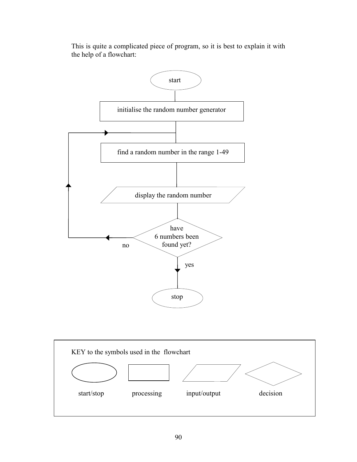



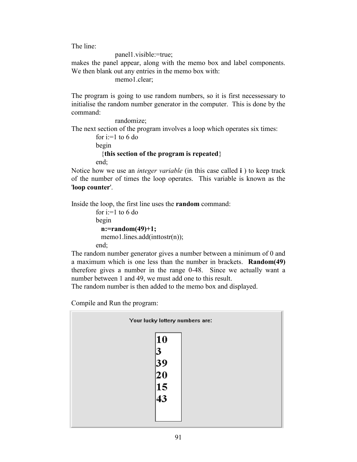The line:

panel1.visible:=true;

makes the panel appear, along with the memo box and label components. We then blank out any entries in the memo box with:

memo1.clear;

The program is going to use random numbers, so it is first necessessary to initialise the random number generator in the computer. This is done by the command:

 randomize; The next section of the program involves a loop which operates six times: for i:=1 to 6 do begin {**this section of the program is repeated**} end;

Notice how we use an *integer variable* (in this case called **i** ) to keep track of the number of times the loop operates. This variable is known as the '**loop counter**'.

Inside the loop, the first line uses the **random** command:

```
for i=1 to 6 do
 begin
   n:=random(49)+1;
  memo1.lines.add(inttostr(n));
 end;
```
The random number generator gives a number between a minimum of 0 and a maximum which is one less than the number in brackets. **Random(49)**  therefore gives a number in the range 0-48. Since we actually want a number between 1 and 49, we must add one to this result.

The random number is then added to the memo box and displayed.

Compile and Run the program:

|                 | Your lucky lottery numbers are: |
|-----------------|---------------------------------|
| 10<br>39<br> 20 |                                 |
| 15              |                                 |
| 43              |                                 |
|                 |                                 |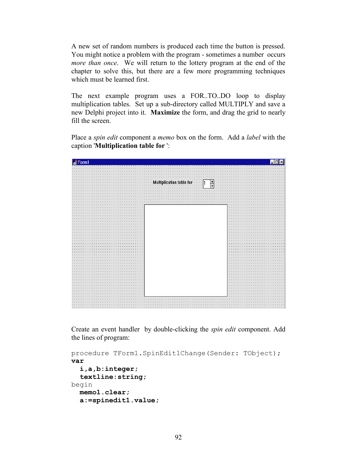A new set of random numbers is produced each time the button is pressed. You might notice a problem with the program - sometimes a number occurs *more than once*. We will return to the lottery program at the end of the chapter to solve this, but there are a few more programming techniques which must be learned first.

The next example program uses a FOR..TO..DO loop to display multiplication tables. Set up a sub-directory called MULTIPLY and save a new Delphi project into it. **Maximize** the form, and drag the grid to nearly fill the screen.

Place a *spin edit* component a *memo* box on the form. Add a *label* with the caption '**Multiplication table for** ':

| .                                                                                  |                                                                                 | .                                                                                                                                                |
|------------------------------------------------------------------------------------|---------------------------------------------------------------------------------|--------------------------------------------------------------------------------------------------------------------------------------------------|
| .                                                                                  |                                                                                 | $\sim$                                                                                                                                           |
| $\mathbf{r}$                                                                       |                                                                                 |                                                                                                                                                  |
| .                                                                                  | $\cdot$ $\cdot$                                                                 | $\mathbf{r}$                                                                                                                                     |
|                                                                                    | ▲<br>$\cdots$                                                                   |                                                                                                                                                  |
| .                                                                                  | lication table for<br>∵ · · Mu<br>$-1$ $-1$ $-1$<br>$\sim$                      |                                                                                                                                                  |
| .                                                                                  | $\overline{\phantom{a}}$<br>1.111                                               | . .                                                                                                                                              |
|                                                                                    | .                                                                               |                                                                                                                                                  |
| $\sim$ $\sim$                                                                      | $\mathbf{r}$<br>.<br>×.<br>×.<br>×.<br>$\mathbf{r}$<br><b>A</b><br>$\mathbf{r}$ | 14.                                                                                                                                              |
|                                                                                    |                                                                                 |                                                                                                                                                  |
| $\mathbf{r}$                                                                       |                                                                                 |                                                                                                                                                  |
|                                                                                    | $\sim$                                                                          |                                                                                                                                                  |
| $\sim$                                                                             |                                                                                 |                                                                                                                                                  |
| .<br>$\cdots$<br>$\sim$ $\sim$<br><b>COL</b>                                       |                                                                                 | .<br>$\sim$<br>$\sim$<br>in a<br>$\sim$<br>$\cdots$                                                                                              |
| .                                                                                  |                                                                                 | $\sim$                                                                                                                                           |
| $\cdot$ $\cdot$<br>.<br>$\mathbf{r}$<br>$\mathbf{r}$<br>$\mathbf{r}$               |                                                                                 | .<br>$\mathbf{r}$<br>$\mathbf{r}$<br>$\mathbf{r}$                                                                                                |
| $\cdots$                                                                           |                                                                                 | $\sim$ $\sim$ $\sim$<br>1.1.1.1<br>$\sim$<br>$\sim$<br>$\sim$<br>$\sim$                                                                          |
| $\cdots$<br>.<br>$\cdots$                                                          |                                                                                 | $\cdots$<br>.<br>$\cdots$<br>$\ddot{\phantom{1}}$<br>$\ddot{\phantom{1}}$<br>$\cdots$<br>$\ddot{\phantom{1}}$<br>$\cdots$<br>$\cdots$<br>$\cdot$ |
| $\cdots$<br>$\cdots$                                                               |                                                                                 | $\sim$                                                                                                                                           |
| $\cdots$<br>$\cdot$ $\cdot$                                                        |                                                                                 | $\sim$ $\sim$<br>$\cdots$<br>$\sim$                                                                                                              |
| .<br>.<br>$\sim$ $\sim$ $\sim$<br>14.1<br>14.1<br><b>ALC</b><br><b>1999</b>        |                                                                                 | .<br>$\cdots$<br>$\sim$ $\sim$ $\sim$ $\sim$                                                                                                     |
|                                                                                    |                                                                                 | $\cdots$                                                                                                                                         |
| .<br>1.1.1.1.1<br>$\cdots$                                                         |                                                                                 | .<br>$\sim$ $\sim$<br><b>COL</b><br>$\mathbf{r}$<br>$\mathbf{r}$                                                                                 |
| .<br>$\sim$ $\sim$ $\sim$                                                          |                                                                                 | $\sim$ $\sim$ $\sim$<br>.<br>$\sim$<br>$\sim$ $\sim$ $\sim$<br>$\sim$<br><b>Service</b>                                                          |
| $\bullet$<br>$\cdots$                                                              |                                                                                 | $\sim$<br>$\cdots$<br>in the<br>$\sim$                                                                                                           |
| 1.1.1.1<br>$\cdots$                                                                |                                                                                 | .<br><b>College</b><br><b>College</b><br><b>1999</b><br>. .<br>$\sim$ $\sim$                                                                     |
| $\bullet$                                                                          |                                                                                 | $\sim$ 10 $\pm$                                                                                                                                  |
| $\cdots$<br>$\cdots$<br>$\sim$ $\sim$<br>in a<br>$\sim$                            |                                                                                 | .<br><b><i><u>ALCO</u></i></b><br><b>A</b><br>$\sim$<br>$\sim$<br><b>A</b><br>14.1                                                               |
| $\cdots$                                                                           |                                                                                 | $\cdots$                                                                                                                                         |
| .<br>.                                                                             |                                                                                 | .<br>$\mathbf{r}$<br>$\mathbf{r}$<br>$\mathbf{r}$                                                                                                |
| $\cdots$<br>$\sim$<br>.                                                            |                                                                                 | .<br>14.1<br>$\sim$<br>$\cdots$<br>$\sim$<br>$\sim$ $\sim$                                                                                       |
| $\cdot$ $\cdot$ $\cdot$<br>.                                                       |                                                                                 | $\sim$<br>$\cdots$<br>$\sim$<br>$\sim$<br>$\bullet$<br>$\mathbf{r}$                                                                              |
| $\sim$ $\sim$<br>$\cdots$                                                          |                                                                                 | <b>All Angeles</b><br>$-1$ $-1$ $-1$ $-1$<br><b>1999</b><br>$\mathbf{r}$                                                                         |
| $\cdot$ $\cdot$ $\cdot$                                                            |                                                                                 | $\sim$ 10 $\pm$<br>$\sim$                                                                                                                        |
| .<br>$\sim$ $\sim$<br>$\cdots$<br><b>A</b><br>14.1<br>$\sim$<br>14.1<br>14.1<br>a. |                                                                                 | .<br>$\cdots$<br>$\cdots$<br>$\sim$<br>$\sim$<br><b>A</b>                                                                                        |
| $\cdots$                                                                           |                                                                                 | $\sim$ 100 $\pm$                                                                                                                                 |
| .<br>1.1.1.1                                                                       |                                                                                 | a construction of the con-<br>$\mathbf{r}$<br>$\ddot{\phantom{1}}$<br>$\cdots$                                                                   |
| .<br>$\sim$ $\sim$ $\sim$<br>$\sim$                                                |                                                                                 | .<br>$\sim$<br>$\sim$ $\sim$ $\sim$<br>$\sim$ $\sim$                                                                                             |
| $\bullet$                                                                          |                                                                                 | $\cdots$                                                                                                                                         |
| $\sim$<br>1.1.1.1<br>$\mathbf{r}$<br>$\mathbf{r}$<br>×.                            |                                                                                 | .<br>$\sim$ $\sim$<br>$\mathbf{r}$<br>$\mathbf{r}$<br>$\mathbf{r}$<br>$\mathbf{r}$                                                               |
| $\sim$                                                                             |                                                                                 | $\sim$ 10 $\pm$                                                                                                                                  |
| $\cdots$<br>$\cdots$                                                               |                                                                                 | $\cdots$<br>.<br>$\sim$                                                                                                                          |
| $\cdots$                                                                           |                                                                                 | $\sim$ $\sim$<br>- 11                                                                                                                            |
| $\cdots$<br>$\cdots$                                                               |                                                                                 | $\sim$ 100 $\sim$ 100 $\sim$<br>.                                                                                                                |
| $\cdots$<br>$\sim$                                                                 |                                                                                 | $\sim$<br><b>ALC</b><br><b>ALC</b><br>14.1                                                                                                       |
|                                                                                    |                                                                                 |                                                                                                                                                  |
| $\mathbf{r}$                                                                       | $\cdots$                                                                        |                                                                                                                                                  |
|                                                                                    |                                                                                 |                                                                                                                                                  |
| .<br>$\cdots$                                                                      |                                                                                 | 14.1                                                                                                                                             |
| $\cdots \cdots \cdots$<br>$\mathbf{r}$                                             |                                                                                 | <b>1979</b>                                                                                                                                      |

Create an event handler by double-clicking the *spin edit* component. Add the lines of program:

```
procedure TForm1.SpinEdit1Change(Sender: TObject);
var
   i,a,b:integer;
   textline:string;
begin
  memo1.clear;
   a:=spinedit1.value;
```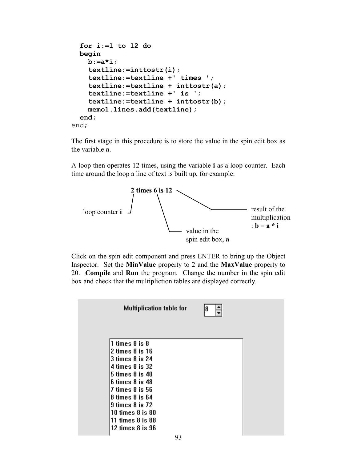```
for i:=1 to 12 do
   begin
     b:=a*i;
     textline:=inttostr(i);
     textline:=textline +' times ';
     textline:=textline + inttostr(a);
     textline:=textline +' is ';
     textline:=textline + inttostr(b);
     memo1.lines.add(textline);
   end;
end;
```
The first stage in this procedure is to store the value in the spin edit box as the variable **a**.

A loop then operates 12 times, using the variable **i** as a loop counter. Each time around the loop a line of text is built up, for example:



Click on the spin edit component and press ENTER to bring up the Object Inspector. Set the **MinValue** property to 2 and the **MaxValue** property to 20. **Compile** and **Run** the program. Change the number in the spin edit box and check that the multipliction tables are displayed correctly.

| <b>Multiplication table for</b>                                                                                                                                                                                             | 8 |  |
|-----------------------------------------------------------------------------------------------------------------------------------------------------------------------------------------------------------------------------|---|--|
| 1 times 8 is 8<br>2 times 8 is 16<br>3 times 8 is 24<br>l4 times 8 is 32<br>5 times 8 is 40<br>6 times 8 is 48<br>7 times 8 is 56<br>8 times 8 is 64<br>9 times 8 is 72<br>$10$ times $8$ is $80$<br>$11$ times $8$ is $88$ |   |  |
| $12$ times 8 is $96$                                                                                                                                                                                                        |   |  |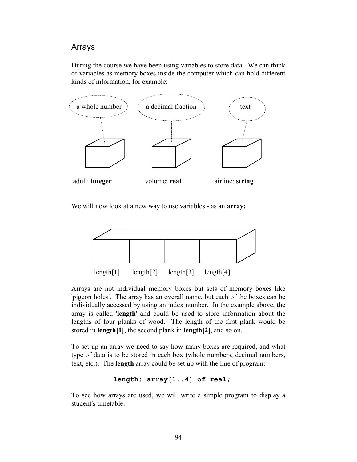## Arrays

During the course we have been using variables to store data. We can think of variables as memory boxes inside the computer which can hold different kinds of information, for example:



We will now look at a new way to use variables - as an **array:**



Arrays are not individual memory boxes but sets of memory boxes like 'pigeon holes'. The array has an overall name, but each of the boxes can be individually accessed by using an index number. In the example above, the array is called '**length**' and could be used to store information about the lengths of four planks of wood. The length of the first plank would be stored in **length[1]**, the second plank in **length[2]**, and so on...

To set up an array we need to say how many boxes are required, and what type of data is to be stored in each box (whole numbers, decimal numbers, text, etc.). The **length** array could be set up with the line of program:

### **length: array[1..4] of real;**

To see how arrays are used, we will write a simple program to display a student's timetable.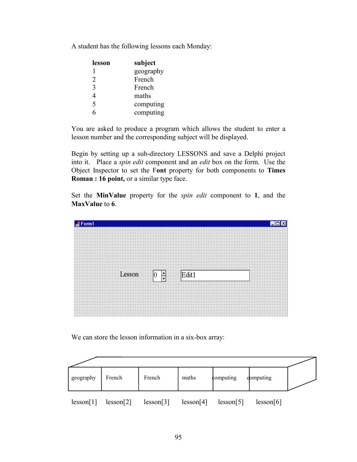A student has the following lessons each Monday:

| lesson | subject   |
|--------|-----------|
|        | geography |
| 2      | French    |
| 3      | French    |
| 4      | maths     |
| 5      | computing |
| ĥ      | computing |

You are asked to produce a program which allows the student to enter a lesson number and the corresponding subject will be displayed.

Begin by setting up a sub-directory LESSONS and save a Delphi project into it. Place a *spin edit* component and an *edit* box on the form. Use the Object Inspector to set the F**ont** property for both components to **Times Roman : 16 point, or a similar type face.** 

Set the **MinValue** property for the *spin edit* component to **1**, and the **MaxValue** to **6**.

| Form1 |                                                                              |                         |
|-------|------------------------------------------------------------------------------|-------------------------|
|       |                                                                              |                         |
|       |                                                                              | .                       |
|       |                                                                              |                         |
|       |                                                                              | $\cdots$<br>$\cdots$    |
|       |                                                                              |                         |
|       |                                                                              |                         |
|       |                                                                              | .                       |
|       |                                                                              |                         |
|       |                                                                              |                         |
|       |                                                                              |                         |
|       |                                                                              | $\cdot$ $\cdot$ $\cdot$ |
|       |                                                                              | $\cdots$                |
|       |                                                                              | $\cdot$ $\cdot$ $\cdot$ |
|       |                                                                              | $\cdots$                |
|       |                                                                              |                         |
|       |                                                                              |                         |
|       |                                                                              |                         |
|       |                                                                              |                         |
|       |                                                                              | $\cdots$                |
|       | $\mathbb{R}^m \mathbb{C}^n[0, \mathring{\mathbb{H}}^n \mathbb{C}^m]$ . Edit1 | .<br>$\cdots$           |
|       | $\overline{\phantom{a}}$<br>.<br>$\cdots$                                    | $\cdots$                |
|       |                                                                              |                         |
|       |                                                                              |                         |
|       |                                                                              |                         |
|       |                                                                              |                         |
|       |                                                                              |                         |
|       |                                                                              | $\cdots$                |
|       |                                                                              | $\sim$                  |
|       |                                                                              | $\sim$ $\sim$           |
|       |                                                                              |                         |
|       |                                                                              |                         |
|       |                                                                              | $\sim$                  |
|       |                                                                              | $\cdots$                |

We can store the lesson information in a six-box array:

| geography | French    | French    | maths     | computing | computing |  |
|-----------|-----------|-----------|-----------|-----------|-----------|--|
| lesson[1] | lesson[2] | lesson[3] | lesson[4] | lesson[5] | lesson[6] |  |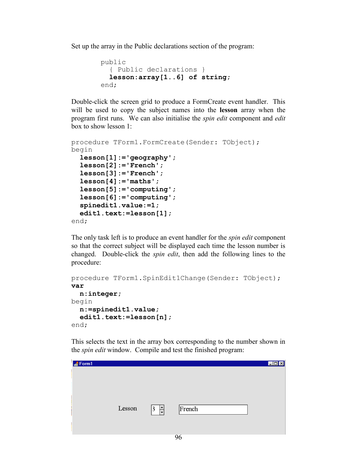Set up the array in the Public declarations section of the program:

```
 public
   { Public declarations }
   lesson:array[1..6] of string;
 end;
```
Double-click the screen grid to produce a FormCreate event handler. This will be used to copy the subject names into the **lesson** array when the program first runs. We can also initialise the *spin edit* component and *edit*  box to show lesson 1:

```
procedure TForm1.FormCreate(Sender: TObject);
begin
  lesson[1]:='geography';
   lesson[2]:='French';
   lesson[3]:='French';
   lesson[4]:='maths';
   lesson[5]:='computing';
   lesson[6]:='computing';
   spinedit1.value:=1;
   edit1.text:=lesson[1];
end;
```
The only task left is to produce an event handler for the *spin edit* component so that the correct subject will be displayed each time the lesson number is changed. Double-click the *spin edit*, then add the following lines to the procedure:

```
procedure TForm1.SpinEdit1Change(Sender: TObject);
var
   n:integer;
begin
  n:=spinedit1.value;
   edit1.text:=lesson[n];
end;
```
This selects the text in the array box corresponding to the number shown in the *spin edit* window. Compile and test the finished program:

| Form1 |        |                           |        | $\boxed{\text{Lox}}$ |
|-------|--------|---------------------------|--------|----------------------|
|       |        |                           |        |                      |
|       |        |                           |        |                      |
|       |        |                           |        |                      |
|       |        |                           |        |                      |
|       | Lesson | $\frac{1}{\sqrt{2}}$<br>3 | French |                      |
|       |        |                           |        |                      |
|       |        |                           |        |                      |
|       |        |                           |        |                      |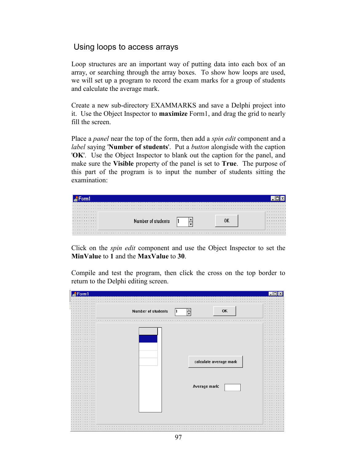## Using loops to access arrays

Loop structures are an important way of putting data into each box of an array, or searching through the array boxes. To show how loops are used, we will set up a program to record the exam marks for a group of students and calculate the average mark.

Create a new sub-directory EXAMMARKS and save a Delphi project into it. Use the Object Inspector to **maximize** Form1, and drag the grid to nearly fill the screen.

Place a *panel* near the top of the form, then add a *spin edit* component and a *label* saying '**Number of students**'. Put a *button* alongisde with the caption '**OK**'. Use the Object Inspector to blank out the caption for the panel, and make sure the **Visible** property of the panel is set to **True**. The purpose of this part of the program is to input the number of students sitting the examination:

| ______________________________ |  |   |
|--------------------------------|--|---|
|                                |  |   |
|                                |  |   |
| .                              |  | . |
| .                              |  | . |
| .                              |  | . |
| .                              |  | . |
| .                              |  | . |
| .                              |  | . |
|                                |  |   |
| .                              |  | . |
|                                |  |   |

Click on the *spin edit* component and use the Object Inspector to set the **MinValue** to **1** and the **MaxValue** to **30**.

Compile and test the program, then click the cross on the top border to return to the Delphi editing screen.

| Number of students | 0K<br>▲<br>₹           |    |
|--------------------|------------------------|----|
|                    |                        |    |
|                    |                        |    |
|                    |                        |    |
|                    |                        |    |
|                    |                        |    |
|                    |                        |    |
|                    | calculate average mark |    |
|                    |                        |    |
|                    |                        |    |
|                    | Average mark:          |    |
|                    |                        |    |
|                    |                        |    |
|                    |                        |    |
|                    |                        |    |
|                    |                        | ٠. |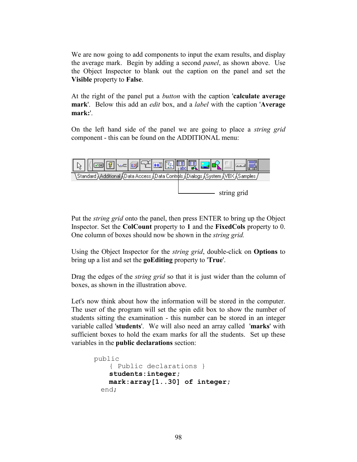We are now going to add components to input the exam results, and display the average mark. Begin by adding a second *panel*, as shown above. Use the Object Inspector to blank out the caption on the panel and set the **Visible** property to **False**.

At the right of the panel put a *button* with the caption '**calculate average mark**'. Below this add an *edit* box, and a *label* with the caption '**Average mark:**'.

On the left hand side of the panel we are going to place a *string grid* component - this can be found on the ADDITIONAL menu:



Put the *string grid* onto the panel, then press ENTER to bring up the Object Inspector. Set the **ColCount** property to **1** and the **FixedCols** property to 0. One column of boxes should now be shown in the *string grid.*

Using the Object Inspector for the *string grid*, double-click on **Options** to bring up a list and set the **goEditing** property to '**True**'.

Drag the edges of the *string grid* so that it is just wider than the column of boxes, as shown in the illustration above.

Let's now think about how the information will be stored in the computer. The user of the program will set the spin edit box to show the number of students sitting the examination - this number can be stored in an integer variable called '**students**'. We will also need an array called '**marks**' with sufficient boxes to hold the exam marks for all the students. Set up these variables in the **public declarations** section:

```
public
     { Public declarations }
    students:integer;
    mark:array[1..30] of integer;
  end;
```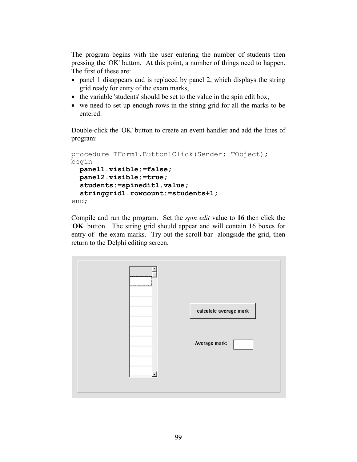The program begins with the user entering the number of students then pressing the 'OK' button. At this point, a number of things need to happen. The first of these are:

- panel 1 disappears and is replaced by panel 2, which displays the string grid ready for entry of the exam marks,
- $\bullet$  the variable 'students' should be set to the value in the spin edit box,
- we need to set up enough rows in the string grid for all the marks to be entered.

Double-click the 'OK' button to create an event handler and add the lines of program:

```
procedure TForm1.Button1Click(Sender: TObject);
begin
  panel1.visible:=false;
  panel2.visible:=true;
   students:=spinedit1.value;
   stringgrid1.rowcount:=students+1;
end;
```
Compile and run the program. Set the *spin edit* value to **16** then click the '**OK**' button. The string grid should appear and will contain 16 boxes for entry of the exam marks. Try out the scroll bar alongside the grid, then return to the Delphi editing screen.

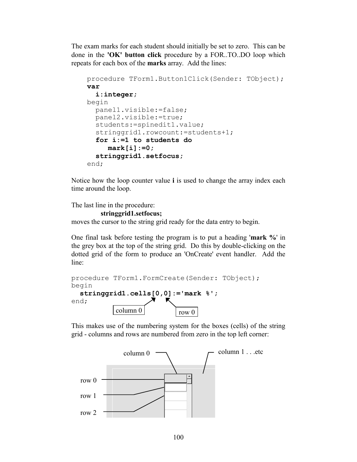The exam marks for each student should initially be set to zero. This can be done in the **'OK' button click** procedure by a FOR..TO..DO loop which repeats for each box of the **marks** array. Add the lines:

```
procedure TForm1.Button1Click(Sender: TObject);
var
   i:integer;
begin
   panel1.visible:=false;
   panel2.visible:=true;
   students:=spinedit1.value;
   stringgrid1.rowcount:=students+1;
  for i:=1 to students do
      mark[i]:=0;
   stringgrid1.setfocus;
end;
```
Notice how the loop counter value **i** is used to change the array index each time around the loop.

The last line in the procedure:

#### **stringgrid1.setfocus;**

moves the cursor to the string grid ready for the data entry to begin.

One final task before testing the program is to put a heading '**mark %**' in the grey box at the top of the string grid. Do this by double-clicking on the dotted grid of the form to produce an 'OnCreate' event handler. Add the line:

```
procedure TForm1.FormCreate(Sender: TObject);
begin
  stringgrid1.cells[0,0]:='mark %';
end; 
             column 0 \mid \frac{\text{row } 0}{\text{row } 0}
```
This makes use of the numbering system for the boxes (cells) of the string grid - columns and rows are numbered from zero in the top left corner:

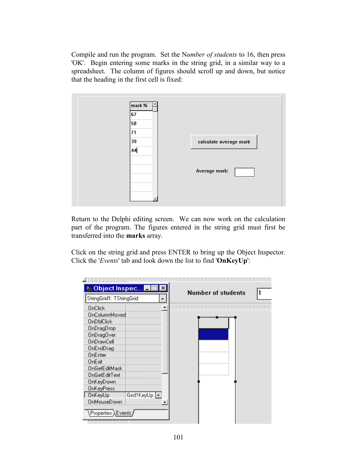Compile and run the program. Set the N*umber of students* to 16, then press 'OK'. Begin entering some marks in the string grid, in a similar way to a spreadsheet. The column of figures should scroll up and down, but notice that the heading in the first cell is fixed:



Return to the Delphi editing screen. We can now work on the calculation part of the program. The figures entered in the string grid must first be transferred into the **marks** array.

Click on the string grid and press ENTER to bring up the Object Inspector. Click the '*Events*' tab and look down the list to find '**OnKeyUp**':

| <b>&amp; Object Inspec</b> |              |                           |  |
|----------------------------|--------------|---------------------------|--|
| StringGrid1: TStringGrid   |              | <b>Number of students</b> |  |
| OnClick                    |              |                           |  |
| OnColumnMoved              |              |                           |  |
| <b>OnDblClick</b>          |              |                           |  |
| OnDragDrop                 |              |                           |  |
| <b>OnDragOver</b>          |              |                           |  |
| OnDrawCell                 |              |                           |  |
| OnEndDrag                  |              |                           |  |
| <b>OnEnter</b>             |              |                           |  |
| OnExit                     |              |                           |  |
| <b>OnGetEditMask</b>       |              |                           |  |
| <b>OnGetEditText</b>       |              |                           |  |
| OnKeyDown                  |              |                           |  |
| <b>OnKeyPress</b>          |              |                           |  |
| OnKeyUp                    | Grid1KeyUp ~ |                           |  |
| <b>OnMouseDown</b>         |              |                           |  |
| $Propeties \lambda$ Events |              |                           |  |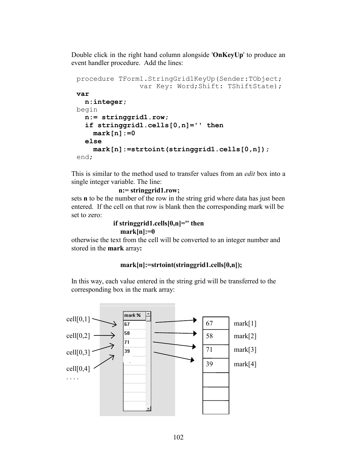Double click in the right hand column alongside '**OnKeyUp**' to produce an event handler procedure. Add the lines:

```
procedure TForm1.StringGrid1KeyUp(Sender:TObject;
                var Key: Word;Shift: TShiftState);
var
   n:integer;
begin
   n:= stringgrid1.row;
   if stringgrid1.cells[0,n]='' then
     mark[n]:=0
   else
     mark[n]:=strtoint(stringgrid1.cells[0,n]);
end;
```
This is similar to the method used to transfer values from an *edit* box into a single integer variable. The line:

```
 n:= stringgrid1.row;
```
sets **n** to be the number of the row in the string grid where data has just been entered. If the cell on that row is blank then the corresponding mark will be set to zero:

### **if stringgrid1.cells[0,n]='' then mark[n]:=0**

otherwise the text from the cell will be converted to an integer number and stored in the **mark** array**:**

### **mark[n]:=strtoint(stringgrid1.cells[0,n]);**

In this way, each value entered in the string grid will be transferred to the corresponding box in the mark array:

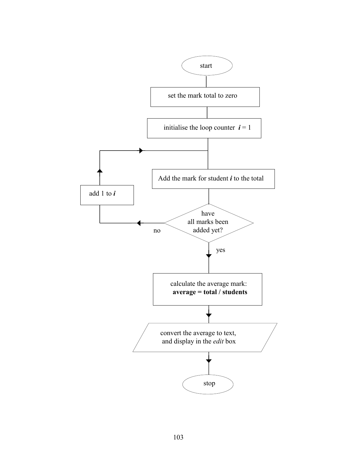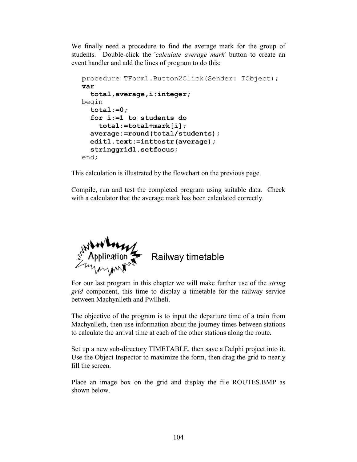We finally need a procedure to find the average mark for the group of students. Double-click the '*calculate average mark*' button to create an event handler and add the lines of program to do this:

```
procedure TForm1.Button2Click(Sender: TObject);
var
   total,average,i:integer;
begin
   total:=0;
   for i:=1 to students do
     total:=total+mark[i];
   average:=round(total/students);
   edit1.text:=inttostr(average);
   stringgrid1.setfocus;
end;
```
This calculation is illustrated by the flowchart on the previous page.

Compile, run and test the completed program using suitable data. Check with a calculator that the average mark has been calculated correctly.



# Railway timetable

For our last program in this chapter we will make further use of the *string grid* component, this time to display a timetable for the railway service between Machynlleth and Pwllheli.

The objective of the program is to input the departure time of a train from Machynlleth, then use information about the journey times between stations to calculate the arrival time at each of the other stations along the route.

Set up a new sub-directory TIMETABLE, then save a Delphi project into it. Use the Object Inspector to maximize the form, then drag the grid to nearly fill the screen.

Place an image box on the grid and display the file ROUTES.BMP as shown below.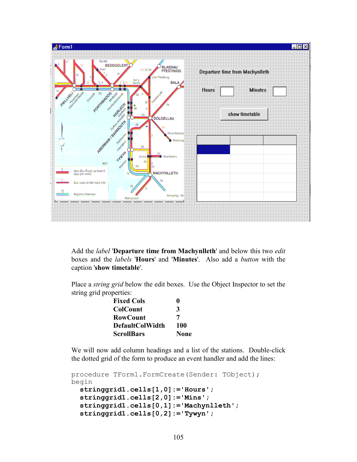

Add the *label* '**Departure time from Machynlleth**' and below this two *edit* boxes and the *labels* '**Hours**' and '**Minutes**'. Also add a *button* with the caption '**show timetable**'.

Place a *string grid* below the edit boxes. Use the Object Inspector to set the string grid properties:

| <b>Fixed Cols</b>      | o           |
|------------------------|-------------|
| <b>ColCount</b>        | 3           |
| <b>RowCount</b>        | 7           |
| <b>DefaultColWidth</b> | 100         |
| <b>ScrollBars</b>      | <b>None</b> |

We will now add column headings and a list of the stations. Double-click the dotted grid of the form to produce an event handler and add the lines:

```
procedure TForm1.FormCreate(Sender: TObject);
begin
   stringgrid1.cells[1,0]:='Hours';
   stringgrid1.cells[2,0]:='Mins';
   stringgrid1.cells[0,1]:='Machynlleth';
   stringgrid1.cells[0,2]:='Tywyn';
```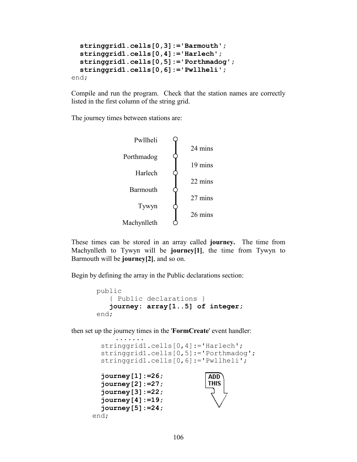```
 stringgrid1.cells[0,3]:='Barmouth';
   stringgrid1.cells[0,4]:='Harlech';
   stringgrid1.cells[0,5]:='Porthmadog';
   stringgrid1.cells[0,6]:='Pwllheli';
end;
```
Compile and run the program. Check that the station names are correctly listed in the first column of the string grid.

The journey times between stations are:



These times can be stored in an array called **journey.** The time from Machynlleth to Tywyn will be **journey[1]**, the time from Tywyn to Barmouth will be **journey[2]**, and so on.

Begin by defining the array in the Public declarations section:

```
public
    { Public declarations }
    journey: array[1..5] of integer;
end;
```
then set up the journey times in the '**FormCreate**' event handler:

```
 .......
   stringgrid1.cells[0,4]:='Harlech';
   stringgrid1.cells[0,5]:='Porthmadog';
   stringgrid1.cells[0,6]:='Pwllheli';
  journey[1]:=26;
                             ADD
   journey[2]:=27;
                             THIS
   journey[3]:=22;
   journey[4]:=19;
   journey[5]:=24;
end;
```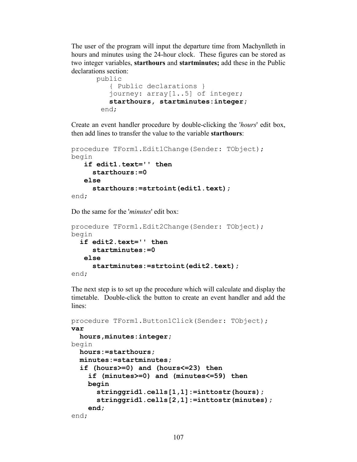The user of the program will input the departure time from Machynlleth in hours and minutes using the 24-hour clock. These figures can be stored as two integer variables, **starthours** and **startminutes;** add these in the Public declarations section:

```
public
    { Public declarations }
    journey: array[1..5] of integer;
    starthours, startminutes:integer;
  end;
```
Create an event handler procedure by double-clicking the '*hours*' edit box, then add lines to transfer the value to the variable **starthours**:

```
procedure TForm1.Edit1Change(Sender: TObject);
begin
    if edit1.text='' then
      starthours:=0
    else
      starthours:=strtoint(edit1.text);
end;
```
Do the same for the '*minutes*' edit box:

```
procedure TForm1.Edit2Change(Sender: TObject);
begin
   if edit2.text='' then
      startminutes:=0
    else
      startminutes:=strtoint(edit2.text);
end;
```
The next step is to set up the procedure which will calculate and display the timetable. Double-click the button to create an event handler and add the lines:

```
procedure TForm1.Button1Click(Sender: TObject);
var
   hours,minutes:integer; 
begin
   hours:=starthours;
   minutes:=startminutes;
   if (hours>=0) and (hours<=23) then
     if (minutes>=0) and (minutes<=59) then
     begin
       stringgrid1.cells[1,1]:=inttostr(hours);
       stringgrid1.cells[2,1]:=inttostr(minutes);
     end;
end;
```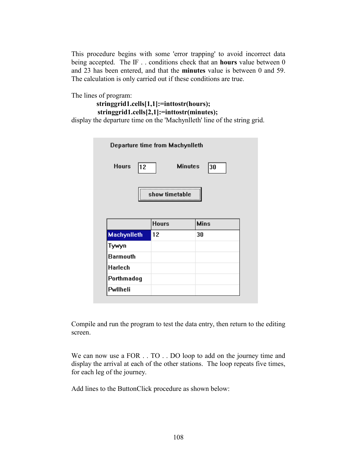This procedure begins with some 'error trapping' to avoid incorrect data being accepted. The IF . . conditions check that an **hours** value between 0 and 23 has been entered, and that the **minutes** value is between 0 and 59. The calculation is only carried out if these conditions are true.

The lines of program:

```
stringgrid1.cells[1,1]:=inttostr(hours);
 stringgrid1.cells[2,1]:=inttostr(minutes);
```
display the departure time on the 'Machynlleth' line of the string grid.

| Departure time from Machynlleth |                      |             |  |  |  |
|---------------------------------|----------------------|-------------|--|--|--|
| <b>Hours</b><br>12              | <b>Minutes</b><br>30 |             |  |  |  |
| show timetable                  |                      |             |  |  |  |
|                                 |                      |             |  |  |  |
|                                 | <b>Hours</b>         | <b>Mins</b> |  |  |  |
| <b>Machynlleth</b>              | 12                   | 30          |  |  |  |
| Tywyn                           |                      |             |  |  |  |
| <b>Barmouth</b>                 |                      |             |  |  |  |
|                                 |                      |             |  |  |  |
| <b>Harlech</b><br>Porthmadog    |                      |             |  |  |  |

Compile and run the program to test the data entry, then return to the editing screen.

We can now use a FOR  $\ldots$  TO  $\ldots$  DO loop to add on the journey time and display the arrival at each of the other stations. The loop repeats five times, for each leg of the journey.

Add lines to the ButtonClick procedure as shown below: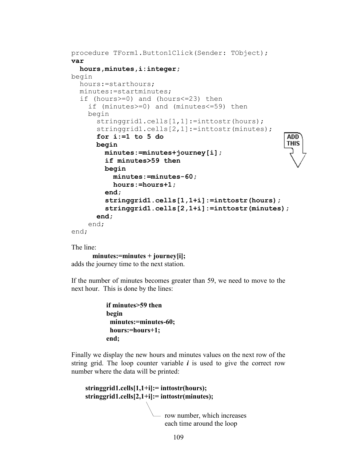```
procedure TForm1.Button1Click(Sender: TObject);
var
   hours,minutes,i:integer;
begin
   hours:=starthours;
   minutes:=startminutes;
   if (hours>=0) and (hours<=23) then
     if (minutes>=0) and (minutes<=59) then
     begin
      stringgrid1.cells[1,1]:=inttostr(hours);
      stringgrid1.cells[2,1]:=inttostr(minutes);
       for i:=1 to 5 do
                                                        ADD<sup>-</sup>
                                                        THIS
       begin
         minutes:=minutes+journey[i];
         if minutes>59 then
         begin
           minutes:=minutes-60;
           hours:=hours+1;
         end;
         stringgrid1.cells[1,1+i]:=inttostr(hours);
         stringgrid1.cells[2,1+i]:=inttostr(minutes);
       end;
     end;
end;
```
The line:

**minutes:=minutes + journey[i];**

adds the journey time to the next station.

If the number of minutes becomes greater than 59, we need to move to the next hour. This is done by the lines:

```
 if minutes>59 then
 begin
  minutes:=minutes-60;
  hours:=hours+1;
 end;
```
Finally we display the new hours and minutes values on the next row of the string grid. The loop counter variable  $\boldsymbol{i}$  is used to give the correct row number where the data will be printed:

```
 stringgrid1.cells[1,1+i]:= inttostr(hours);
 stringgrid1.cells[2,1+i]:= inttostr(minutes);
                          - row number, which increases
                            each time around the loop
```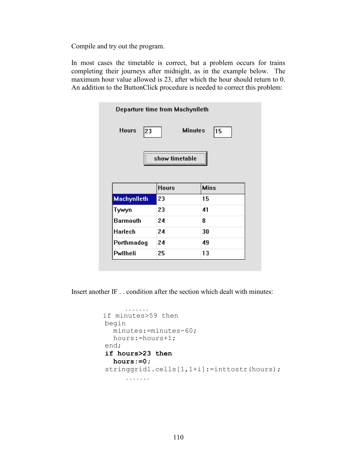Compile and try out the program.

In most cases the timetable is correct, but a problem occurs for trains completing their journeys after midnight, as in the example below. The maximum hour value allowed is 23, after which the hour should return to 0. An addition to the ButtonClick procedure is needed to correct this problem:

| Departure time from Machynlleth             |              |             |  |  |  |
|---------------------------------------------|--------------|-------------|--|--|--|
| <b>Hours</b><br><b>Minutes</b><br>23<br> 15 |              |             |  |  |  |
| show timetable                              |              |             |  |  |  |
|                                             |              |             |  |  |  |
|                                             | <b>Hours</b> | <b>Mins</b> |  |  |  |
|                                             | 23           | 15          |  |  |  |
| <b>Machynlleth</b><br>Tywyn                 | 23           | 41          |  |  |  |
|                                             | 24           | 8           |  |  |  |
| <b>Barmouth</b><br><b>Harlech</b>           | 24           | 30          |  |  |  |
| Porthmadog                                  | 24           | 49          |  |  |  |

Insert another IF . . condition after the section which dealt with minutes:

```
 . . . . . . .
 if minutes>59 then
 begin
   minutes:=minutes-60;
   hours:=hours+1;
 end;
 if hours>23 then
   hours:=0;
stringgrid1.cells[1,1+i]:=inttostr(hours);
       . . . . . . .
```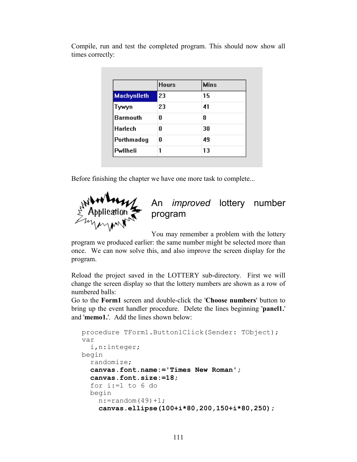|                    | <b>Hours</b> | <b>Mins</b> |  |
|--------------------|--------------|-------------|--|
| <b>Machynlleth</b> | 23           | 15          |  |
| Tywyn              | 23           | 41          |  |
| <b>Barmouth</b>    | Λ            | 8           |  |
| <b>Harlech</b>     | Λ            | 30          |  |
| Porthmadog         | 0            | 49          |  |
| Pwllheli           |              | 13          |  |

Compile, run and test the completed program. This should now show all times correctly:

Before finishing the chapter we have one more task to complete...



# An *improved* lottery number program

You may remember a problem with the lottery

program we produced earlier: the same number might be selected more than once. We can now solve this, and also improve the screen display for the program.

Reload the project saved in the LOTTERY sub-directory. First we will change the screen display so that the lottery numbers are shown as a row of numbered balls:

Go to the **Form1** screen and double-click the '**Choose numbers**' button to bring up the event handler procedure. Delete the lines beginning '**panel1.**' and '**memo1.**'. Add the lines shown below:

```
procedure TForm1.Button1Click(Sender: TObject);
var
   i,n:integer;
begin
   randomize;
   canvas.font.name:='Times New Roman';
   canvas.font.size:=18;
   for i:=1 to 6 do
   begin
    n:=random(49)+1;
     canvas.ellipse(100+i*80,200,150+i*80,250);
```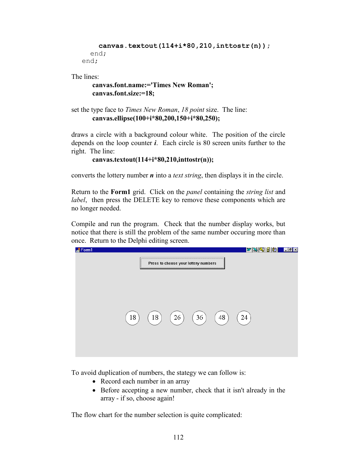```
 canvas.textout(114+i*80,210,inttostr(n));
   end;
end;
```
The lines:

```
canvas.font.name:='Times New Roman';
canvas.font.size:=18;
```

```
set the type face to Times New Roman, 18 point size. The line:
       canvas.ellipse(100+i*80,200,150+i*80,250);
```
draws a circle with a background colour white. The position of the circle depends on the loop counter *i*. Each circle is 80 screen units further to the right. The line:

```
canvas.textout(114+i*80,210,inttostr(n));
```
converts the lottery number *n* into a *text string*, then displays it in the circle.

Return to the **Form1** grid. Click on the *panel* containing the *string list* and *label*, then press the DELETE key to remove these components which are no longer needed.

Compile and run the program. Check that the number display works, but notice that there is still the problem of the same number occuring more than once. Return to the Delphi editing screen.



To avoid duplication of numbers, the stategy we can follow is:

- Record each number in an array
- Before accepting a new number, check that it isn't already in the array - if so, choose again!

The flow chart for the number selection is quite complicated: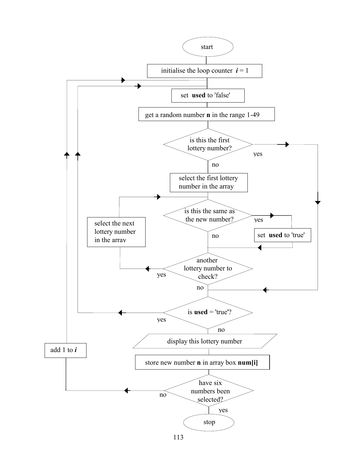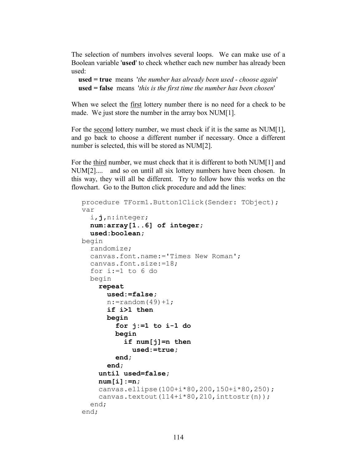The selection of numbers involves several loops. We can make use of a Boolean variable '**used**' to check whether each new number has already been used:

```
 used = true means 'the number has already been used - choose again'
 used = false means 'this is the first time the number has been chosen'
```
When we select the first lottery number there is no need for a check to be made. We just store the number in the array box NUM[1].

For the <u>second</u> lottery number, we must check if it is the same as NUM[1], and go back to choose a different number if necessary. Once a different number is selected, this will be stored as NUM[2].

For the third number, we must check that it is different to both NUM[1] and NUM[2].... and so on until all six lottery numbers have been chosen. In this way, they will all be different. Try to follow how this works on the flowchart. Go to the Button click procedure and add the lines:

```
procedure TForm1.Button1Click(Sender: TObject);
var
   i,j,n:integer;
  num:array[1..6] of integer;
   used:boolean;
begin
   randomize;
   canvas.font.name:='Times New Roman';
   canvas.font.size:=18;
   for i:=1 to 6 do
   begin
     repeat
       used:=false;
      n:=random(49)+1; if i>1 then
       begin
         for j:=1 to i-1 do
         begin
            if num[j]=n then
              used:=true;
         end;
       end;
     until used=false;
     num[i]:=n;
     canvas.ellipse(100+i*80,200,150+i*80,250);
    canvas.textout(114+i*80,210,inttostr(n));
   end;
end;
```